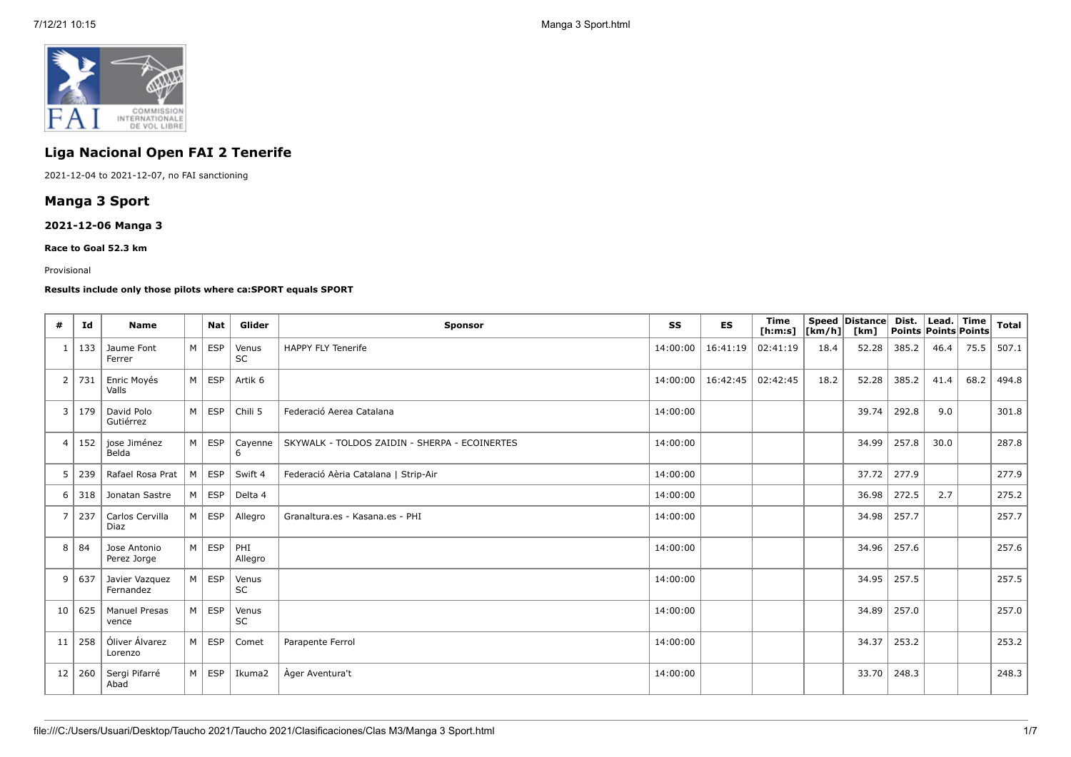

# **Liga Nacional Open FAI 2 Tenerife**

2021-12-04 to 2021-12-07, no FAI sanctioning

## **Manga 3 Sport**

## **2021-12-06 Manga 3**

**Race to Goal 52.3 km**

#### Provisional

#### **Results include only those pilots where ca:SPORT equals SPORT**

| #              | Id       | <b>Name</b>                   |                | <b>Nat</b> | Glider             | <b>Sponsor</b>                                | SS       | <b>ES</b> | <b>Time</b><br>[ <b>h</b> : <b>m</b> : <b>s</b> ] | $\vert$ [km/h] $\vert$ | Speed Distance<br>[km] | Dist. | Lead.<br>Points Points Points | Time | <b>Total</b> |
|----------------|----------|-------------------------------|----------------|------------|--------------------|-----------------------------------------------|----------|-----------|---------------------------------------------------|------------------------|------------------------|-------|-------------------------------|------|--------------|
|                | 133      | Jaume Font<br>Ferrer          | M              | <b>ESP</b> | Venus<br><b>SC</b> | <b>HAPPY FLY Tenerife</b>                     | 14:00:00 | 16:41:19  | 02:41:19                                          | 18.4                   | 52.28                  | 385.2 | 46.4                          | 75.5 | 507.1        |
| 2              | 731      | Enric Moyés<br>Valls          | M              | <b>ESP</b> | Artik 6            |                                               | 14:00:00 | 16:42:45  | 02:42:45                                          | 18.2                   | 52.28                  | 385.2 | 41.4                          | 68.2 | 494.8        |
| 3              | 179      | David Polo<br>Gutiérrez       | M              | <b>ESP</b> | Chili 5            | Federació Aerea Catalana                      | 14:00:00 |           |                                                   |                        | 39.74                  | 292.8 | 9.0                           |      | 301.8        |
| $\overline{4}$ | 152      | jose Jiménez<br>Belda         | M <sub>1</sub> | <b>ESP</b> | Cayenne<br>6       | SKYWALK - TOLDOS ZAIDIN - SHERPA - ECOINERTES | 14:00:00 |           |                                                   |                        | 34.99                  | 257.8 | 30.0                          |      | 287.8        |
| 5              | 239      | Rafael Rosa Prat              | M              | <b>ESP</b> | Swift 4            | Federació Aèria Catalana   Strip-Air          | 14:00:00 |           |                                                   |                        | 37.72                  | 277.9 |                               |      | 277.9        |
| 6              | 318      | Jonatan Sastre                | M              | <b>ESP</b> | Delta 4            |                                               | 14:00:00 |           |                                                   |                        | 36.98                  | 272.5 | 2.7                           |      | 275.2        |
| $\overline{7}$ | 237      | Carlos Cervilla<br>Diaz       | M              | <b>ESP</b> | Allegro            | Granaltura.es - Kasana.es - PHI               | 14:00:00 |           |                                                   |                        | 34.98                  | 257.7 |                               |      | 257.7        |
| 8              | 84       | Jose Antonio<br>Perez Jorge   | M              | <b>ESP</b> | PHI<br>Allegro     |                                               | 14:00:00 |           |                                                   |                        | 34.96                  | 257.6 |                               |      | 257.6        |
| 9              | 637      | Javier Vazquez<br>Fernandez   | M              | <b>ESP</b> | Venus<br><b>SC</b> |                                               | 14:00:00 |           |                                                   |                        | 34.95                  | 257.5 |                               |      | 257.5        |
|                | 10   625 | <b>Manuel Presas</b><br>vence | M              | <b>ESP</b> | Venus<br><b>SC</b> |                                               | 14:00:00 |           |                                                   |                        | 34.89                  | 257.0 |                               |      | 257.0        |
| 11             | 258      | Óliver Álvarez<br>Lorenzo     | M              | <b>ESP</b> | Comet              | Parapente Ferrol                              | 14:00:00 |           |                                                   |                        | 34.37                  | 253.2 |                               |      | 253.2        |
| 12             | 260      | Sergi Pifarré<br>Abad         | M              | <b>ESP</b> | Ikuma2             | Ager Aventura't                               | 14:00:00 |           |                                                   |                        | 33.70                  | 248.3 |                               |      | 248.3        |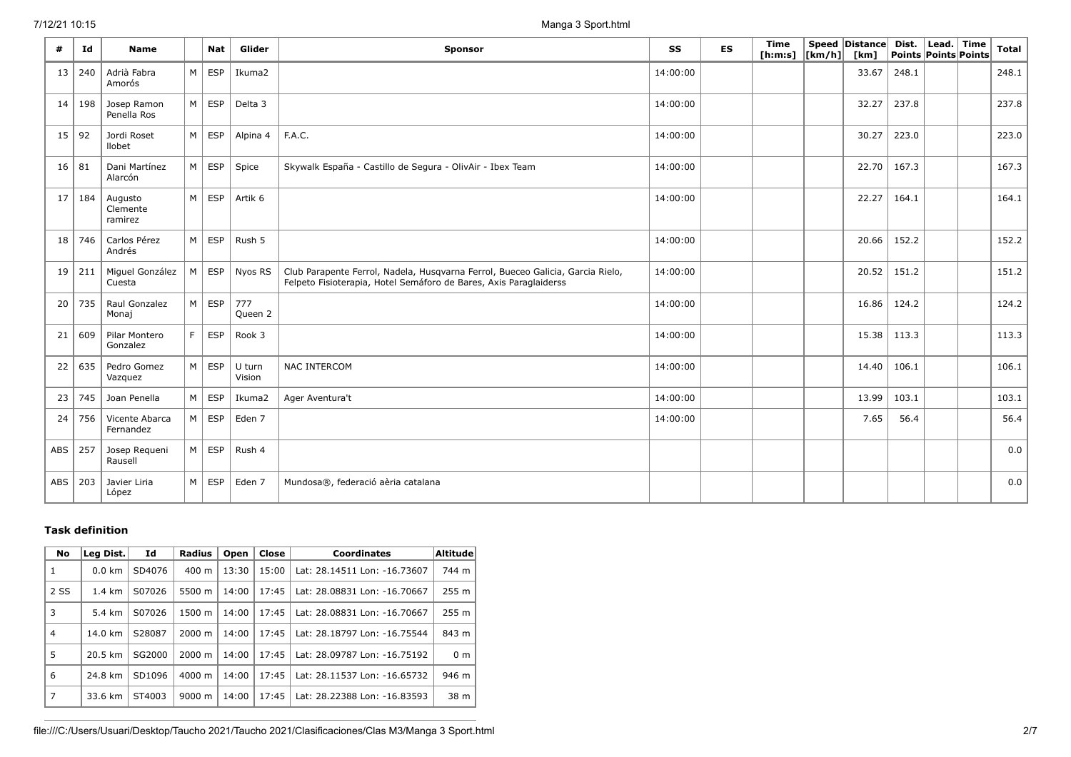.

| #   | Id  | <b>Name</b>                    |                | <b>Nat</b> | Glider           | Sponsor                                                                                                                                             |          | <b>ES</b> | Time<br>[ h: m: s] | $\lfloor \lfloor km/h \rfloor \rfloor$ | Speed   Distance  <br>[km] | Points Points Points | Dist.   Lead.   Time | <b>Total</b> |
|-----|-----|--------------------------------|----------------|------------|------------------|-----------------------------------------------------------------------------------------------------------------------------------------------------|----------|-----------|--------------------|----------------------------------------|----------------------------|----------------------|----------------------|--------------|
| 13  | 240 | Adrià Fabra<br>Amorós          | M              | <b>ESP</b> | Ikuma2           |                                                                                                                                                     | 14:00:00 |           |                    |                                        | 33.67                      | 248.1                |                      | 248.1        |
| 14  | 198 | Josep Ramon<br>Penella Ros     | M <sub>1</sub> | <b>ESP</b> | Delta 3          |                                                                                                                                                     | 14:00:00 |           |                    |                                        | 32.27                      | 237.8                |                      | 237.8        |
| 15  | 92  | Jordi Roset<br>llobet          | M <sub>1</sub> | <b>ESP</b> | Alpina 4         | F.A.C.                                                                                                                                              | 14:00:00 |           |                    |                                        | 30.27                      | 223.0                |                      | 223.0        |
| 16  | 81  | Dani Martínez<br>Alarcón       | M              | <b>ESP</b> | Spice            | Skywalk España - Castillo de Segura - OlivAir - Ibex Team                                                                                           | 14:00:00 |           |                    |                                        | 22.70                      | 167.3                |                      | 167.3        |
| 17  | 184 | Augusto<br>Clemente<br>ramirez | M              | <b>ESP</b> | Artik 6          |                                                                                                                                                     | 14:00:00 |           |                    |                                        | 22.27                      | 164.1                |                      | 164.1        |
| 18  | 746 | Carlos Pérez<br>Andrés         | M              | <b>ESP</b> | Rush 5           |                                                                                                                                                     | 14:00:00 |           |                    |                                        | 20.66                      | 152.2                |                      | 152.2        |
| 19  | 211 | Miguel González<br>Cuesta      | M              | <b>ESP</b> | Nyos RS          | Club Parapente Ferrol, Nadela, Husqvarna Ferrol, Bueceo Galicia, Garcia Rielo,<br>Felpeto Fisioterapia, Hotel Semáforo de Bares, Axis Paraglaiderss | 14:00:00 |           |                    |                                        | 20.52                      | 151.2                |                      | 151.2        |
| 20  | 735 | Raul Gonzalez<br>Monaj         | M              | <b>ESP</b> | 777<br>Queen 2   |                                                                                                                                                     | 14:00:00 |           |                    |                                        | 16.86                      | 124.2                |                      | 124.2        |
| 21  | 609 | Pilar Montero<br>Gonzalez      | F              | <b>ESP</b> | Rook 3           |                                                                                                                                                     | 14:00:00 |           |                    |                                        | 15.38                      | 113.3                |                      | 113.3        |
| 22  | 635 | Pedro Gomez<br>Vazquez         | M <sub>1</sub> | <b>ESP</b> | U turn<br>Vision | <b>NAC INTERCOM</b>                                                                                                                                 | 14:00:00 |           |                    |                                        | 14.40                      | 106.1                |                      | 106.1        |
| 23  | 745 | Joan Penella                   | M <sub>1</sub> | <b>ESP</b> | Ikuma2           | Ager Aventura't                                                                                                                                     | 14:00:00 |           |                    |                                        | 13.99                      | 103.1                |                      | 103.1        |
| 24  | 756 | Vicente Abarca<br>Fernandez    | M <sub>1</sub> | <b>ESP</b> | Eden 7           |                                                                                                                                                     | 14:00:00 |           |                    |                                        | 7.65                       | 56.4                 |                      | 56.4         |
| ABS | 257 | Josep Requeni<br>Rausell       | M              | <b>ESP</b> | Rush 4           |                                                                                                                                                     |          |           |                    |                                        |                            |                      |                      | 0.0          |
| ABS | 203 | Javier Liria<br>López          | M              | <b>ESP</b> | Eden 7           | Mundosa®, federació aèria catalana                                                                                                                  |          |           |                    |                                        |                            |                      |                      | 0.0          |

## **Task definition**

| <b>No</b> | Leg Dist.        | Id     | <b>Radius</b>      | Open  | Close | <b>Coordinates</b>           | Altitude         |
|-----------|------------------|--------|--------------------|-------|-------|------------------------------|------------------|
| 1         | $0.0 \text{ km}$ | SD4076 | $400 \text{ m}$    | 13:30 | 15:00 | Lat: 28.14511 Lon: -16.73607 | 744 m            |
| 2 SS      | $1.4 \text{ km}$ | S07026 | 5500 m             | 14:00 | 17:45 | Lat: 28.08831 Lon: -16.70667 | 255 <sub>m</sub> |
| 3         | 5.4 km           | S07026 | 1500 m             | 14:00 | 17:45 | Lat: 28.08831 Lon: -16.70667 | 255 <sub>m</sub> |
| 4         | 14.0 km          | S28087 | $2000 \; m$        | 14:00 | 17:45 | Lat: 28.18797 Lon: -16.75544 | 843 m            |
| 5         | 20.5 km          | SG2000 | $2000 \; \text{m}$ | 14:00 | 17:45 | Lat: 28.09787 Lon: -16.75192 | 0 <sub>m</sub>   |
| 6         | 24.8 km          | SD1096 | $4000 \; \text{m}$ | 14:00 | 17:45 | Lat: 28.11537 Lon: -16.65732 | 946 m            |
| 7         | 33.6 km          | ST4003 | $9000 \; \text{m}$ | 14:00 | 17:45 | Lat: 28.22388 Lon: -16.83593 | 38 m             |

file:///C:/Users/Usuari/Desktop/Taucho 2021/Taucho 2021/Clasificaciones/Clas M3/Manga 3 Sport.html 2/7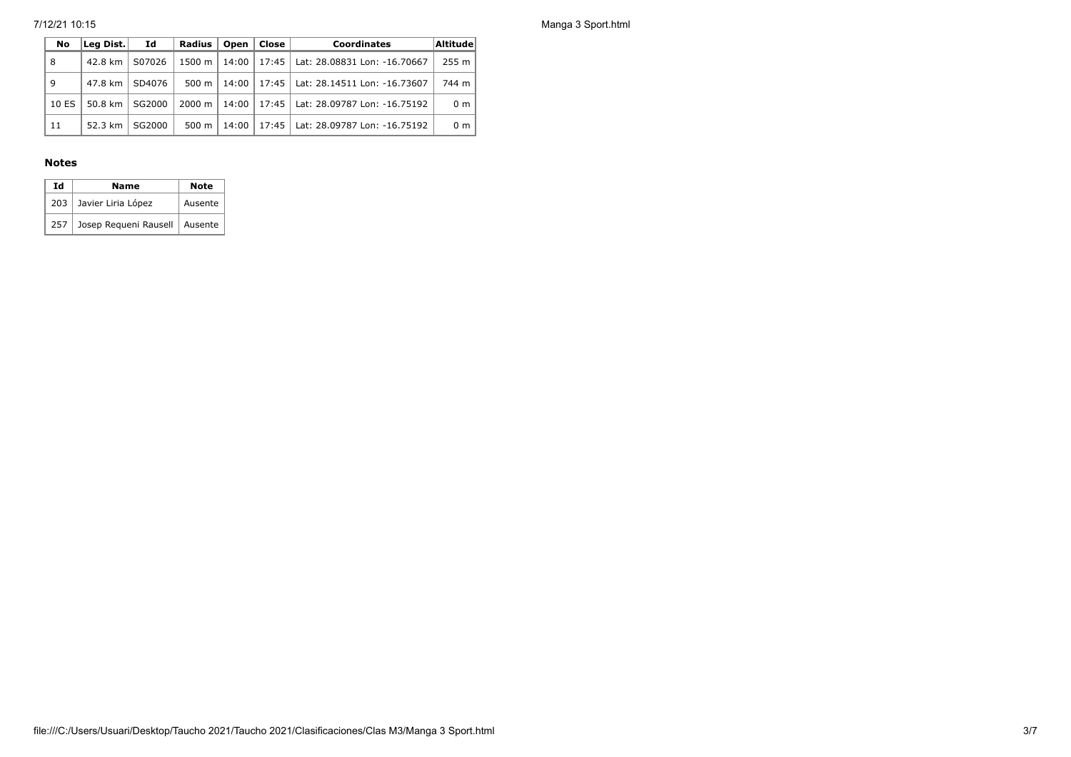7/12/21 10:15 Manga 3 Sport.html

| No    | Lea Dist.              | Id     | Radius           | Open    | Close | <b>Coordinates</b>                           | Altitude |
|-------|------------------------|--------|------------------|---------|-------|----------------------------------------------|----------|
| 8     | 42.8 km                | S07026 | 1500 m           |         |       | 14:00   17:45   Lat: 28.08831 Lon: -16.70667 | $255$ m  |
| 9     | 47.8 km                | SD4076 | 500 m            | $14:00$ |       | 17:45   Lat: 28.14511 Lon: -16.73607         | 744 m    |
| 10 ES | 50.8 km $\vert$ SG2000 |        | $2000 \text{ m}$ |         |       | 14:00   17:45   Lat: 28.09787 Lon: -16.75192 | 0 m      |
| 11    | 52.3 km                | SG2000 | 500 m            | 14:00   |       | 17:45   Lat: 28.09787 Lon: -16.75192         | 0 m      |

### **Notes**

| Ιd  | Name                     | Note    |
|-----|--------------------------|---------|
|     | 203   Javier Liria López | Ausente |
| 257 | Josep Requeni Rausell    | Ausente |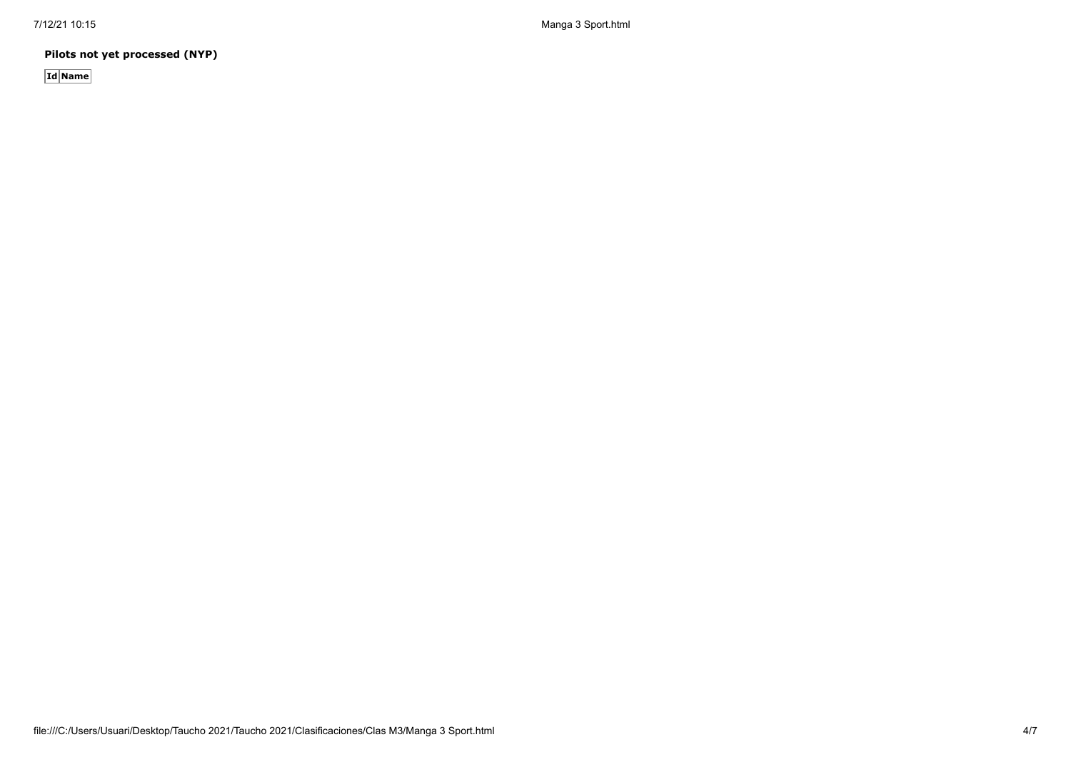7/12/21 10:15 Manga 3 Sport.html

**Pilots not yet processed (NYP)**

**Id Name**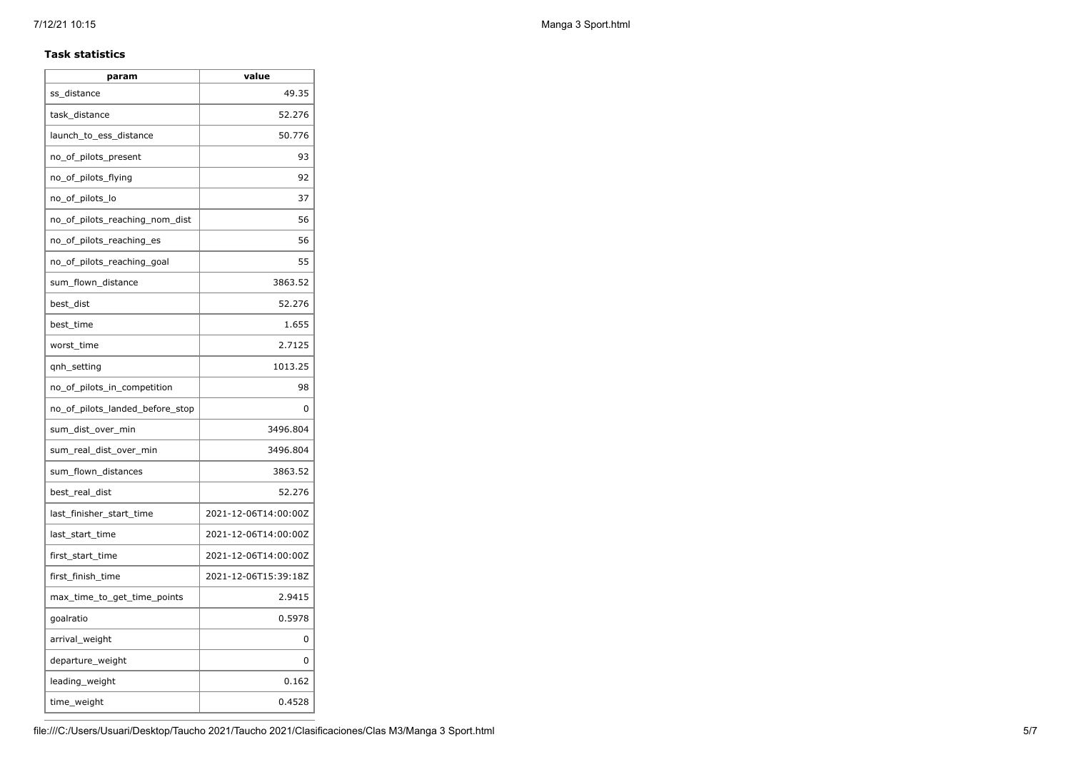#### **Task statistics**

| param                           | value                |
|---------------------------------|----------------------|
| ss distance                     | 49.35                |
| task_distance                   | 52.276               |
| launch to ess distance          | 50.776               |
| no_of_pilots_present            | 93                   |
| no_of_pilots_flying             | 92                   |
| no_of_pilots_lo                 | 37                   |
| no_of_pilots_reaching_nom_dist  | 56                   |
| no_of_pilots_reaching_es        | 56                   |
| no_of_pilots_reaching_goal      | 55                   |
| sum_flown_distance              | 3863.52              |
| best_dist                       | 52.276               |
| best time                       | 1.655                |
| worst_time                      | 2.7125               |
| qnh_setting                     | 1013.25              |
| no_of_pilots_in_competition     | 98                   |
| no of pilots landed before stop | 0                    |
| sum_dist_over_min               | 3496.804             |
| sum_real_dist_over_min          | 3496.804             |
| sum_flown_distances             | 3863.52              |
| best real dist                  | 52.276               |
| last_finisher_start_time        | 2021-12-06T14:00:00Z |
| last_start_time                 | 2021-12-06T14:00:00Z |
| first_start_time                | 2021-12-06T14:00:00Z |
| first_finish_time               | 2021-12-06T15:39:18Z |
| max time to get time points     | 2.9415               |
| goalratio                       | 0.5978               |
| arrival_weight                  | 0                    |
| departure_weight                | 0                    |
| leading_weight                  | 0.162                |
| time_weight                     | 0.4528               |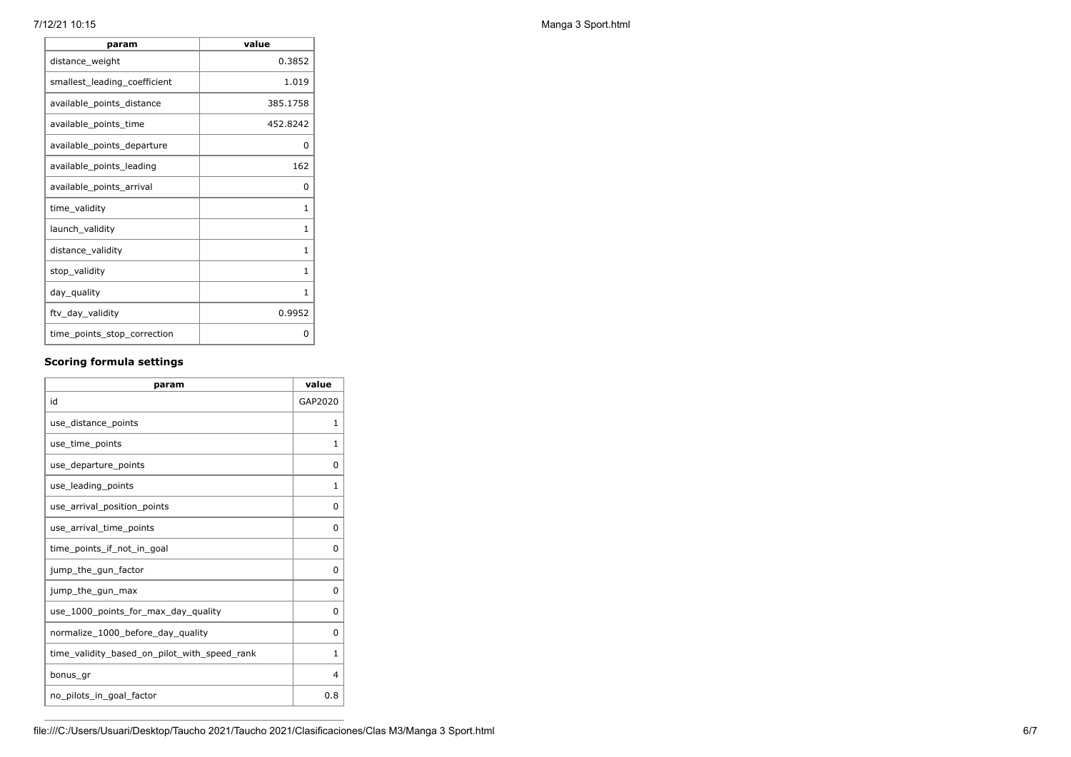| value    |
|----------|
| 0.3852   |
| 1.019    |
| 385.1758 |
| 452.8242 |
| 0        |
| 162      |
| O        |
| 1        |
| 1        |
| 1        |
| 1        |
| 1        |
| 0.9952   |
| O        |
|          |

## **Scoring formula settings**

| param                                        | value    |
|----------------------------------------------|----------|
| id                                           | GAP2020  |
| use_distance_points                          | 1        |
| use time points                              | 1        |
| use_departure_points                         | 0        |
| use_leading_points                           | 1        |
| use arrival position points                  | 0        |
| use_arrival_time_points                      | 0        |
| time points if not in goal                   | 0        |
| jump_the_gun_factor                          | $\Omega$ |
| jump_the_gun_max                             | 0        |
| use_1000_points_for_max_day_quality          | $\Omega$ |
| normalize_1000_before_day_quality            | 0        |
| time_validity_based_on_pilot_with_speed_rank | 1        |
| bonus gr                                     | 4        |
| no_pilots_in_goal_factor                     | 0.8      |